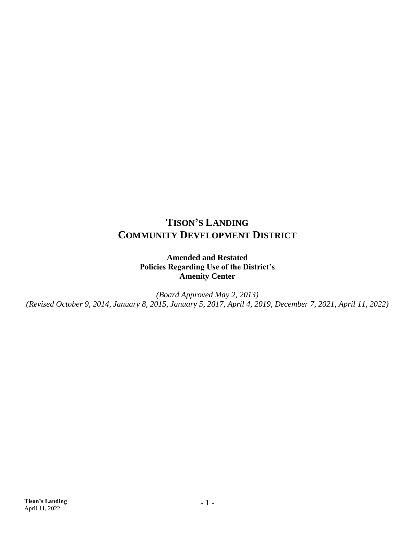# **TISON'S LANDING COMMUNITY DEVELOPMENT DISTRICT**

**Amended and Restated Policies Regarding Use of the District's Amenity Center**

*(Board Approved May 2, 2013) (Revised October 9, 2014, January 8, 2015, January 5, 2017, April 4, 2019, December 7, 2021, April 11, 2022)*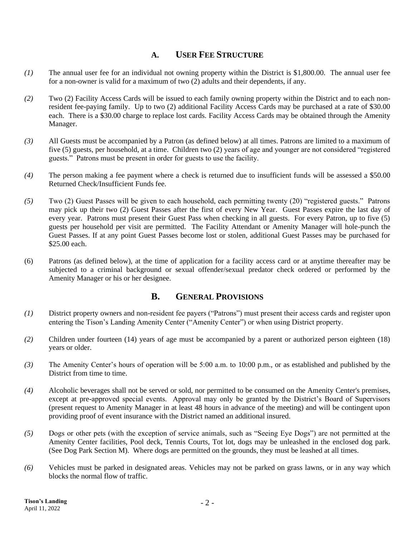#### **A. USER FEE STRUCTURE**

- *(1)* The annual user fee for an individual not owning property within the District is \$1,800.00. The annual user fee for a non-owner is valid for a maximum of two (2) adults and their dependents, if any.
- *(2)* Two (2) Facility Access Cards will be issued to each family owning property within the District and to each nonresident fee-paying family. Up to two (2) additional Facility Access Cards may be purchased at a rate of \$30.00 each. There is a \$30.00 charge to replace lost cards. Facility Access Cards may be obtained through the Amenity Manager.
- *(3)* All Guests must be accompanied by a Patron (as defined below) at all times. Patrons are limited to a maximum of five (5) guests, per household, at a time. Children two (2) years of age and younger are not considered "registered guests." Patrons must be present in order for guests to use the facility.
- *(4)* The person making a fee payment where a check is returned due to insufficient funds will be assessed a \$50.00 Returned Check/Insufficient Funds fee.
- *(5)* Two (2) Guest Passes will be given to each household, each permitting twenty (20) "registered guests." Patrons may pick up their two (2) Guest Passes after the first of every New Year. Guest Passes expire the last day of every year. Patrons must present their Guest Pass when checking in all guests. For every Patron, up to five (5) guests per household per visit are permitted. The Facility Attendant or Amenity Manager will hole-punch the Guest Passes. If at any point Guest Passes become lost or stolen, additional Guest Passes may be purchased for \$25.00 each.
- (6) Patrons (as defined below), at the time of application for a facility access card or at anytime thereafter may be subjected to a criminal background or sexual offender/sexual predator check ordered or performed by the Amenity Manager or his or her designee.

#### **B. GENERAL PROVISIONS**

- *(1)* District property owners and non-resident fee payers ("Patrons") must present their access cards and register upon entering the Tison's Landing Amenity Center ("Amenity Center") or when using District property.
- *(2)* Children under fourteen (14) years of age must be accompanied by a parent or authorized person eighteen (18) years or older.
- *(3)* The Amenity Center's hours of operation will be 5:00 a.m. to 10:00 p.m., or as established and published by the District from time to time.
- *(4)* Alcoholic beverages shall not be served or sold, nor permitted to be consumed on the Amenity Center's premises, except at pre-approved special events. Approval may only be granted by the District's Board of Supervisors (present request to Amenity Manager in at least 48 hours in advance of the meeting) and will be contingent upon providing proof of event insurance with the District named an additional insured.
- *(5)* Dogs or other pets (with the exception of service animals, such as "Seeing Eye Dogs") are not permitted at the Amenity Center facilities, Pool deck, Tennis Courts, Tot lot, dogs may be unleashed in the enclosed dog park. (See Dog Park Section M). Where dogs are permitted on the grounds, they must be leashed at all times.
- *(6)* Vehicles must be parked in designated areas. Vehicles may not be parked on grass lawns, or in any way which blocks the normal flow of traffic.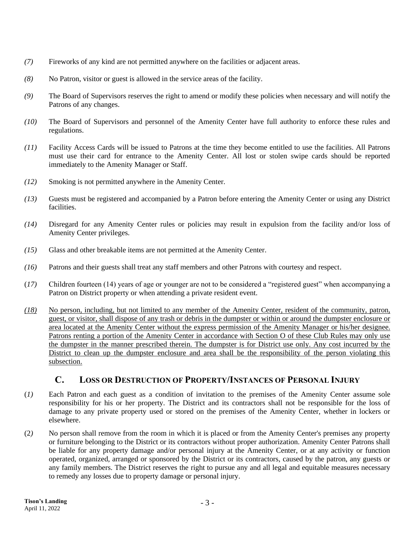- *(7)* Fireworks of any kind are not permitted anywhere on the facilities or adjacent areas.
- *(8)* No Patron, visitor or guest is allowed in the service areas of the facility.
- *(9)* The Board of Supervisors reserves the right to amend or modify these policies when necessary and will notify the Patrons of any changes.
- *(10)* The Board of Supervisors and personnel of the Amenity Center have full authority to enforce these rules and regulations.
- *(11)* Facility Access Cards will be issued to Patrons at the time they become entitled to use the facilities. All Patrons must use their card for entrance to the Amenity Center. All lost or stolen swipe cards should be reported immediately to the Amenity Manager or Staff.
- *(12)* Smoking is not permitted anywhere in the Amenity Center.
- *(13)* Guests must be registered and accompanied by a Patron before entering the Amenity Center or using any District facilities.
- *(14)* Disregard for any Amenity Center rules or policies may result in expulsion from the facility and/or loss of Amenity Center privileges.
- *(15)* Glass and other breakable items are not permitted at the Amenity Center.
- *(16)* Patrons and their guests shall treat any staff members and other Patrons with courtesy and respect.
- (*17)* Children fourteen (14) years of age or younger are not to be considered a "registered guest" when accompanying a Patron on District property or when attending a private resident event.
- *(18)* No person, including, but not limited to any member of the Amenity Center, resident of the community, patron, guest, or visitor, shall dispose of any trash or debris in the dumpster or within or around the dumpster enclosure or area located at the Amenity Center without the express permission of the Amenity Manager or his/her designee. Patrons renting a portion of the Amenity Center in accordance with Section O of these Club Rules may only use the dumpster in the manner prescribed therein. The dumpster is for District use only. Any cost incurred by the District to clean up the dumpster enclosure and area shall be the responsibility of the person violating this subsection.

### **C. LOSS OR DESTRUCTION OF PROPERTY/INSTANCES OF PERSONAL INJURY**

- (*1)* Each Patron and each guest as a condition of invitation to the premises of the Amenity Center assume sole responsibility for his or her property. The District and its contractors shall not be responsible for the loss of damage to any private property used or stored on the premises of the Amenity Center, whether in lockers or elsewhere.
- (2*)* No person shall remove from the room in which it is placed or from the Amenity Center's premises any property or furniture belonging to the District or its contractors without proper authorization. Amenity Center Patrons shall be liable for any property damage and/or personal injury at the Amenity Center, or at any activity or function operated, organized, arranged or sponsored by the District or its contractors, caused by the patron, any guests or any family members. The District reserves the right to pursue any and all legal and equitable measures necessary to remedy any losses due to property damage or personal injury.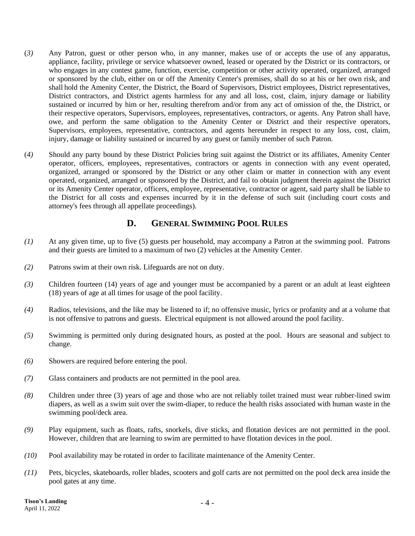- (*3)* Any Patron, guest or other person who, in any manner, makes use of or accepts the use of any apparatus, appliance, facility, privilege or service whatsoever owned, leased or operated by the District or its contractors, or who engages in any contest game, function, exercise, competition or other activity operated, organized, arranged or sponsored by the club, either on or off the Amenity Center's premises, shall do so at his or her own risk, and shall hold the Amenity Center, the District, the Board of Supervisors, District employees, District representatives, District contractors, and District agents harmless for any and all loss, cost, claim, injury damage or liability sustained or incurred by him or her, resulting therefrom and/or from any act of omission of the, the District, or their respective operators, Supervisors, employees, representatives, contractors, or agents. Any Patron shall have, owe, and perform the same obligation to the Amenity Center or District and their respective operators, Supervisors, employees, representative, contractors, and agents hereunder in respect to any loss, cost, claim, injury, damage or liability sustained or incurred by any guest or family member of such Patron.
- (*4)* Should any party bound by these District Policies bring suit against the District or its affiliates, Amenity Center operator, officers, employees, representatives, contractors or agents in connection with any event operated, organized, arranged or sponsored by the District or any other claim or matter in connection with any event operated, organized, arranged or sponsored by the District, and fail to obtain judgment therein against the District or its Amenity Center operator, officers, employee, representative, contractor or agent, said party shall be liable to the District for all costs and expenses incurred by it in the defense of such suit (including court costs and attorney's fees through all appellate proceedings).

#### **D. GENERAL SWIMMING POOL RULES**

- *(1)* At any given time, up to five (5) guests per household, may accompany a Patron at the swimming pool. Patrons and their guests are limited to a maximum of two (2) vehicles at the Amenity Center.
- *(2)* Patrons swim at their own risk. Lifeguards are not on duty.
- *(3)* Children fourteen (14) years of age and younger must be accompanied by a parent or an adult at least eighteen (18) years of age at all times for usage of the pool facility.
- *(4)* Radios, televisions, and the like may be listened to if; no offensive music, lyrics or profanity and at a volume that is not offensive to patrons and guests. Electrical equipment is not allowed around the pool facility.
- *(5)* Swimming is permitted only during designated hours, as posted at the pool. Hours are seasonal and subject to change.
- *(6)* Showers are required before entering the pool.
- *(7)* Glass containers and products are not permitted in the pool area.
- *(8)* Children under three (3) years of age and those who are not reliably toilet trained must wear rubber-lined swim diapers, as well as a swim suit over the swim-diaper, to reduce the health risks associated with human waste in the swimming pool/deck area.
- *(9)* Play equipment, such as floats, rafts, snorkels, dive sticks, and flotation devices are not permitted in the pool. However, children that are learning to swim are permitted to have flotation devices in the pool.
- *(10)* Pool availability may be rotated in order to facilitate maintenance of the Amenity Center.
- *(11)* Pets, bicycles, skateboards, roller blades, scooters and golf carts are not permitted on the pool deck area inside the pool gates at any time.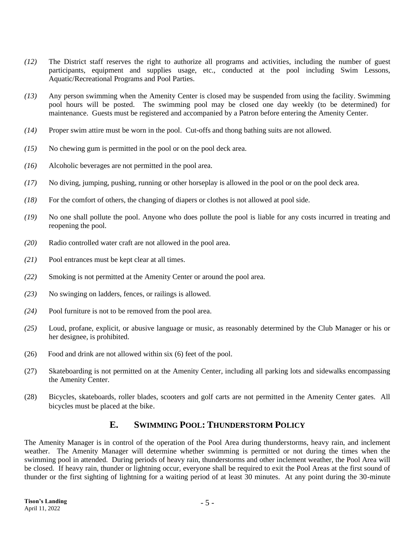- *(12)* The District staff reserves the right to authorize all programs and activities, including the number of guest participants, equipment and supplies usage, etc., conducted at the pool including Swim Lessons, Aquatic/Recreational Programs and Pool Parties.
- *(13)* Any person swimming when the Amenity Center is closed may be suspended from using the facility. Swimming pool hours will be posted. The swimming pool may be closed one day weekly (to be determined) for maintenance. Guests must be registered and accompanied by a Patron before entering the Amenity Center.
- *(14)* Proper swim attire must be worn in the pool. Cut-offs and thong bathing suits are not allowed.
- *(15)* No chewing gum is permitted in the pool or on the pool deck area.
- *(16)* Alcoholic beverages are not permitted in the pool area.
- *(17)* No diving, jumping, pushing, running or other horseplay is allowed in the pool or on the pool deck area.
- *(18)* For the comfort of others, the changing of diapers or clothes is not allowed at pool side.
- *(19)* No one shall pollute the pool. Anyone who does pollute the pool is liable for any costs incurred in treating and reopening the pool.
- *(20)* Radio controlled water craft are not allowed in the pool area.
- *(21)* Pool entrances must be kept clear at all times.
- *(22)* Smoking is not permitted at the Amenity Center or around the pool area.
- *(23)* No swinging on ladders, fences, or railings is allowed.
- *(24)* Pool furniture is not to be removed from the pool area.
- *(25)* Loud, profane, explicit, or abusive language or music, as reasonably determined by the Club Manager or his or her designee, is prohibited.
- (26) Food and drink are not allowed within six (6) feet of the pool.
- (27) Skateboarding is not permitted on at the Amenity Center, including all parking lots and sidewalks encompassing the Amenity Center.
- (28) Bicycles, skateboards, roller blades, scooters and golf carts are not permitted in the Amenity Center gates. All bicycles must be placed at the bike.

### **E. SWIMMING POOL: THUNDERSTORM POLICY**

The Amenity Manager is in control of the operation of the Pool Area during thunderstorms, heavy rain, and inclement weather. The Amenity Manager will determine whether swimming is permitted or not during the times when the swimming pool in attended. During periods of heavy rain, thunderstorms and other inclement weather, the Pool Area will be closed. If heavy rain, thunder or lightning occur, everyone shall be required to exit the Pool Areas at the first sound of thunder or the first sighting of lightning for a waiting period of at least 30 minutes. At any point during the 30-minute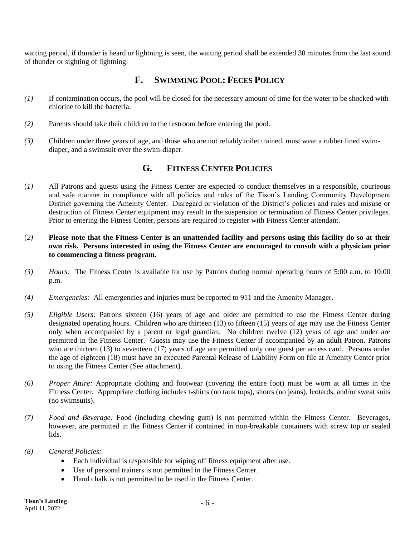waiting period, if thunder is heard or lightning is seen, the waiting period shall be extended 30 minutes from the last sound of thunder or sighting of lightning.

## **F. SWIMMING POOL: FECES POLICY**

- *(1)* If contamination occurs, the pool will be closed for the necessary amount of time for the water to be shocked with chlorine to kill the bacteria.
- *(2)* Parents should take their children to the restroom before entering the pool.
- *(3)* Children under three years of age, and those who are not reliably toilet trained, must wear a rubber lined swimdiaper, and a swimsuit over the swim-diaper.

#### **G. FITNESS CENTER POLICIES**

- (*1)* All Patrons and guests using the Fitness Center are expected to conduct themselves in a responsible, courteous and safe manner in compliance with all policies and rules of the Tison's Landing Community Development District governing the Amenity Center. Disregard or violation of the District's policies and rules and misuse or destruction of Fitness Center equipment may result in the suspension or termination of Fitness Center privileges. Prior to entering the Fitness Center, persons are required to register with Fitness Center attendant.
- (*2)* **Please note that the Fitness Center is an unattended facility and persons using this facility do so at their own risk. Persons interested in using the Fitness Center are encouraged to consult with a physician prior to commencing a fitness program.**
- *(3) Hours:* The Fitness Center is available for use by Patrons during normal operating hours of 5:00 a.m. to 10:00 p.m.
- *(4) Emergencies:* All emergencies and injuries must be reported to 911 and the Amenity Manager.
- *(5) Eligible Users:* Patrons sixteen (16) years of age and older are permitted to use the Fitness Center during designated operating hours. Children who are thirteen (13) to fifteen (15) years of age may use the Fitness Center only when accompanied by a parent or legal guardian. No children twelve (12) years of age and under are permitted in the Fitness Center. Guests may use the Fitness Center if accompanied by an adult Patron. Patrons who are thirteen (13) to seventeen (17) years of age are permitted only one guest per access card. Persons under the age of eighteen (18) must have an executed Parental Release of Liability Form on file at Amenity Center prior to using the Fitness Center (See attachment).
- *(6) Proper Attire:* Appropriate clothing and footwear (covering the entire foot) must be worn at all times in the Fitness Center. Appropriate clothing includes t-shirts (no tank tops), shorts (no jeans), leotards, and/or sweat suits (no swimsuits).
- *(7) Food and Beverage:* Food (including chewing gum) is not permitted within the Fitness Center. Beverages, however, are permitted in the Fitness Center if contained in non-breakable containers with screw top or sealed lids.
- *(8) General Policies:*
	- Each individual is responsible for wiping off fitness equipment after use.
	- Use of personal trainers is not permitted in the Fitness Center.
	- Hand chalk is not permitted to be used in the Fitness Center.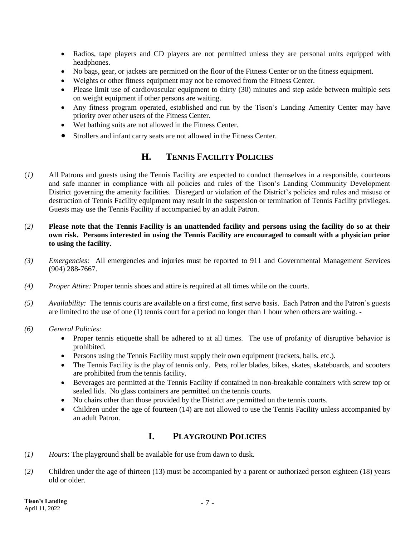- Radios, tape players and CD players are not permitted unless they are personal units equipped with headphones.
- No bags, gear, or jackets are permitted on the floor of the Fitness Center or on the fitness equipment.
- Weights or other fitness equipment may not be removed from the Fitness Center.
- Please limit use of cardiovascular equipment to thirty (30) minutes and step aside between multiple sets on weight equipment if other persons are waiting.
- Any fitness program operated, established and run by the Tison's Landing Amenity Center may have priority over other users of the Fitness Center.
- Wet bathing suits are not allowed in the Fitness Center.
- Strollers and infant carry seats are not allowed in the Fitness Center.

### **H. TENNIS FACILITY POLICIES**

- (*1)* All Patrons and guests using the Tennis Facility are expected to conduct themselves in a responsible, courteous and safe manner in compliance with all policies and rules of the Tison's Landing Community Development District governing the amenity facilities. Disregard or violation of the District's policies and rules and misuse or destruction of Tennis Facility equipment may result in the suspension or termination of Tennis Facility privileges. Guests may use the Tennis Facility if accompanied by an adult Patron.
- (*2)* **Please note that the Tennis Facility is an unattended facility and persons using the facility do so at their own risk. Persons interested in using the Tennis Facility are encouraged to consult with a physician prior to using the facility.**
- *(3) Emergencies:* All emergencies and injuries must be reported to 911 and Governmental Management Services (904) 288-7667.
- *(4) Proper Attire:* Proper tennis shoes and attire is required at all times while on the courts.
- *(5) Availability:* The tennis courts are available on a first come, first serve basis. Each Patron and the Patron's guests are limited to the use of one (1) tennis court for a period no longer than 1 hour when others are waiting. -
- *(6) General Policies:*
	- Proper tennis etiquette shall be adhered to at all times. The use of profanity of disruptive behavior is prohibited.
	- Persons using the Tennis Facility must supply their own equipment (rackets, balls, etc.).
	- The Tennis Facility is the play of tennis only. Pets, roller blades, bikes, skates, skateboards, and scooters are prohibited from the tennis facility.
	- Beverages are permitted at the Tennis Facility if contained in non-breakable containers with screw top or sealed lids. No glass containers are permitted on the tennis courts.
	- No chairs other than those provided by the District are permitted on the tennis courts.
	- Children under the age of fourteen (14) are not allowed to use the Tennis Facility unless accompanied by an adult Patron.

### **I. PLAYGROUND POLICIES**

- (*1) Hours*: The playground shall be available for use from dawn to dusk.
- (*2)* Children under the age of thirteen (13) must be accompanied by a parent or authorized person eighteen (18) years old or older.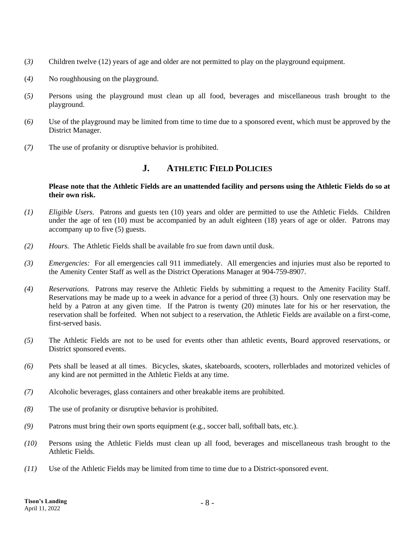- (*3)* Children twelve (12) years of age and older are not permitted to play on the playground equipment.
- (*4)* No roughhousing on the playground.
- (*5)* Persons using the playground must clean up all food, beverages and miscellaneous trash brought to the playground.
- (*6)* Use of the playground may be limited from time to time due to a sponsored event, which must be approved by the District Manager.
- (*7)* The use of profanity or disruptive behavior is prohibited.

#### **J. ATHLETIC FIELD POLICIES**

**Please note that the Athletic Fields are an unattended facility and persons using the Athletic Fields do so at their own risk.** 

- *(1) Eligible Users.* Patrons and guests ten (10) years and older are permitted to use the Athletic Fields. Children under the age of ten (10) must be accompanied by an adult eighteen (18) years of age or older. Patrons may accompany up to five (5) guests.
- *(2) Hours.* The Athletic Fields shall be available fro sue from dawn until dusk.
- *(3) Emergencies:* For all emergencies call 911 immediately. All emergencies and injuries must also be reported to the Amenity Center Staff as well as the District Operations Manager at 904-759-8907.
- *(4) Reservations.* Patrons may reserve the Athletic Fields by submitting a request to the Amenity Facility Staff. Reservations may be made up to a week in advance for a period of three (3) hours. Only one reservation may be held by a Patron at any given time. If the Patron is twenty (20) minutes late for his or her reservation, the reservation shall be forfeited. When not subject to a reservation, the Athletic Fields are available on a first-come, first-served basis.
- *(5)* The Athletic Fields are not to be used for events other than athletic events, Board approved reservations, or District sponsored events.
- *(6)* Pets shall be leased at all times. Bicycles, skates, skateboards, scooters, rollerblades and motorized vehicles of any kind are not permitted in the Athletic Fields at any time.
- *(7)* Alcoholic beverages, glass containers and other breakable items are prohibited.
- *(8)* The use of profanity or disruptive behavior is prohibited.
- *(9)* Patrons must bring their own sports equipment (e.g., soccer ball, softball bats, etc.).
- *(10)* Persons using the Athletic Fields must clean up all food, beverages and miscellaneous trash brought to the Athletic Fields.
- *(11)* Use of the Athletic Fields may be limited from time to time due to a District-sponsored event.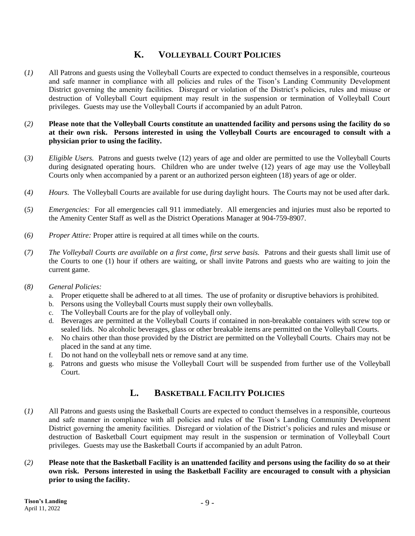### **K. VOLLEYBALL COURT POLICIES**

- (*1)* All Patrons and guests using the Volleyball Courts are expected to conduct themselves in a responsible, courteous and safe manner in compliance with all policies and rules of the Tison's Landing Community Development District governing the amenity facilities. Disregard or violation of the District's policies, rules and misuse or destruction of Volleyball Court equipment may result in the suspension or termination of Volleyball Court privileges. Guests may use the Volleyball Courts if accompanied by an adult Patron.
- (*2)* **Please note that the Volleyball Courts constitute an unattended facility and persons using the facility do so at their own risk. Persons interested in using the Volleyball Courts are encouraged to consult with a physician prior to using the facility.**
- (*3) Eligible Users.* Patrons and guests twelve (12) years of age and older are permitted to use the Volleyball Courts during designated operating hours. Children who are under twelve (12) years of age may use the Volleyball Courts only when accompanied by a parent or an authorized person eighteen (18) years of age or older.
- (*4) Hours.* The Volleyball Courts are available for use during daylight hours. The Courts may not be used after dark.
- (*5) Emergencies:* For all emergencies call 911 immediately. All emergencies and injuries must also be reported to the Amenity Center Staff as well as the District Operations Manager at 904-759-8907.
- (*6) Proper Attire:* Proper attire is required at all times while on the courts.
- (*7) The Volleyball Courts are available on a first come, first serve basis.* Patrons and their guests shall limit use of the Courts to one (1) hour if others are waiting, or shall invite Patrons and guests who are waiting to join the current game.
- (*8) General Policies:*
	- a. Proper etiquette shall be adhered to at all times. The use of profanity or disruptive behaviors is prohibited.
	- b. Persons using the Volleyball Courts must supply their own volleyballs.
	- c. The Volleyball Courts are for the play of volleyball only.
	- d. Beverages are permitted at the Volleyball Courts if contained in non-breakable containers with screw top or sealed lids. No alcoholic beverages, glass or other breakable items are permitted on the Volleyball Courts.
	- e. No chairs other than those provided by the District are permitted on the Volleyball Courts. Chairs may not be placed in the sand at any time.
	- f. Do not hand on the volleyball nets or remove sand at any time.
	- g. Patrons and guests who misuse the Volleyball Court will be suspended from further use of the Volleyball Court.

### **L. BASKETBALL FACILITY POLICIES**

- (*1)* All Patrons and guests using the Basketball Courts are expected to conduct themselves in a responsible, courteous and safe manner in compliance with all policies and rules of the Tison's Landing Community Development District governing the amenity facilities. Disregard or violation of the District's policies and rules and misuse or destruction of Basketball Court equipment may result in the suspension or termination of Volleyball Court privileges. Guests may use the Basketball Courts if accompanied by an adult Patron.
- (*2)* **Please note that the Basketball Facility is an unattended facility and persons using the facility do so at their own risk. Persons interested in using the Basketball Facility are encouraged to consult with a physician prior to using the facility.**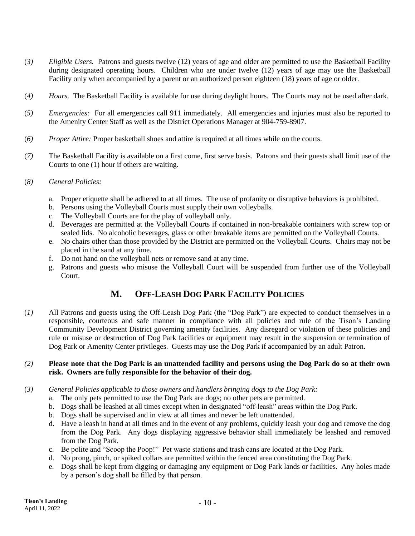- (*3) Eligible Users.* Patrons and guests twelve (12) years of age and older are permitted to use the Basketball Facility during designated operating hours. Children who are under twelve (12) years of age may use the Basketball Facility only when accompanied by a parent or an authorized person eighteen (18) years of age or older.
- (*4) Hours.* The Basketball Facility is available for use during daylight hours. The Courts may not be used after dark.
- (*5) Emergencies:* For all emergencies call 911 immediately. All emergencies and injuries must also be reported to the Amenity Center Staff as well as the District Operations Manager at 904-759-8907.
- (*6) Proper Attire:* Proper basketball shoes and attire is required at all times while on the courts.
- (*7)* The Basketball Facility is available on a first come, first serve basis. Patrons and their guests shall limit use of the Courts to one (1) hour if others are waiting.
- (*8) General Policies:*
	- a. Proper etiquette shall be adhered to at all times. The use of profanity or disruptive behaviors is prohibited.
	- b. Persons using the Volleyball Courts must supply their own volleyballs.
	- c. The Volleyball Courts are for the play of volleyball only.
	- d. Beverages are permitted at the Volleyball Courts if contained in non-breakable containers with screw top or sealed lids. No alcoholic beverages, glass or other breakable items are permitted on the Volleyball Courts.
	- e. No chairs other than those provided by the District are permitted on the Volleyball Courts. Chairs may not be placed in the sand at any time.
	- f. Do not hand on the volleyball nets or remove sand at any time.
	- g. Patrons and guests who misuse the Volleyball Court will be suspended from further use of the Volleyball Court.

#### **M. OFF-LEASH DOG PARK FACILITY POLICIES**

(*1)* All Patrons and guests using the Off-Leash Dog Park (the "Dog Park") are expected to conduct themselves in a responsible, courteous and safe manner in compliance with all policies and rule of the Tison's Landing Community Development District governing amenity facilities. Any disregard or violation of these policies and rule or misuse or destruction of Dog Park facilities or equipment may result in the suspension or termination of Dog Park or Amenity Center privileges. Guests may use the Dog Park if accompanied by an adult Patron.

#### *(2)* **Please note that the Dog Park is an unattended facility and persons using the Dog Park do so at their own risk. Owners are fully responsible for the behavior of their dog.**

- (*3) General Policies applicable to those owners and handlers bringing dogs to the Dog Park:*
	- a. The only pets permitted to use the Dog Park are dogs; no other pets are permitted.
	- b. Dogs shall be leashed at all times except when in designated "off-leash" areas within the Dog Park.
	- b. Dogs shall be supervised and in view at all times and never be left unattended.
	- d. Have a leash in hand at all times and in the event of any problems, quickly leash your dog and remove the dog from the Dog Park. Any dogs displaying aggressive behavior shall immediately be leashed and removed from the Dog Park.
	- c. Be polite and "Scoop the Poop!" Pet waste stations and trash cans are located at the Dog Park.
	- d. No prong, pinch, or spiked collars are permitted within the fenced area constituting the Dog Park.
	- e. Dogs shall be kept from digging or damaging any equipment or Dog Park lands or facilities. Any holes made by a person's dog shall be filled by that person.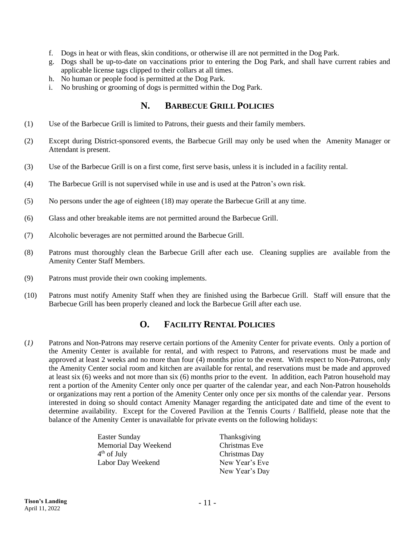- f. Dogs in heat or with fleas, skin conditions, or otherwise ill are not permitted in the Dog Park.
- g. Dogs shall be up-to-date on vaccinations prior to entering the Dog Park, and shall have current rabies and applicable license tags clipped to their collars at all times.
- h. No human or people food is permitted at the Dog Park.
- i. No brushing or grooming of dogs is permitted within the Dog Park.

#### **N. BARBECUE GRILL POLICIES**

- (1) Use of the Barbecue Grill is limited to Patrons, their guests and their family members.
- (2) Except during District-sponsored events, the Barbecue Grill may only be used when the Amenity Manager or Attendant is present.
- (3) Use of the Barbecue Grill is on a first come, first serve basis, unless it is included in a facility rental.
- (4) The Barbecue Grill is not supervised while in use and is used at the Patron's own risk.
- (5) No persons under the age of eighteen (18) may operate the Barbecue Grill at any time.
- (6) Glass and other breakable items are not permitted around the Barbecue Grill.
- (7) Alcoholic beverages are not permitted around the Barbecue Grill.
- (8) Patrons must thoroughly clean the Barbecue Grill after each use. Cleaning supplies are available from the Amenity Center Staff Members.
- (9) Patrons must provide their own cooking implements.
- (10) Patrons must notify Amenity Staff when they are finished using the Barbecue Grill. Staff will ensure that the Barbecue Grill has been properly cleaned and lock the Barbecue Grill after each use.

### **O. FACILITY RENTAL POLICIES**

(*1)* Patrons and Non-Patrons may reserve certain portions of the Amenity Center for private events. Only a portion of the Amenity Center is available for rental, and with respect to Patrons, and reservations must be made and approved at least 2 weeks and no more than four (4) months prior to the event. With respect to Non-Patrons, only the Amenity Center social room and kitchen are available for rental, and reservations must be made and approved at least six (6) weeks and not more than six (6) months prior to the event. In addition, each Patron household may rent a portion of the Amenity Center only once per quarter of the calendar year, and each Non-Patron households or organizations may rent a portion of the Amenity Center only once per six months of the calendar year. Persons interested in doing so should contact Amenity Manager regarding the anticipated date and time of the event to determine availability. Except for the Covered Pavilion at the Tennis Courts / Ballfield, please note that the balance of the Amenity Center is unavailable for private events on the following holidays:

> Easter Sunday Thanksgiving Memorial Day Weekend Christmas Eve  $4<sup>th</sup>$  of July Labor Day Weekend New Year's Eve

Christmas Day New Year's Day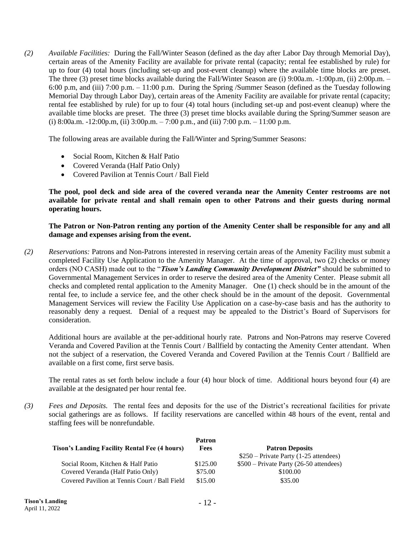*(2) Available Facilities:* During the Fall/Winter Season (defined as the day after Labor Day through Memorial Day), certain areas of the Amenity Facility are available for private rental (capacity; rental fee established by rule) for up to four (4) total hours (including set-up and post-event cleanup) where the available time blocks are preset. The three (3) preset time blocks available during the Fall/Winter Season are (i) 9:00a.m. -1:00p.m, (ii) 2:00p.m. – 6:00 p.m, and (iii) 7:00 p.m. – 11:00 p.m. During the Spring /Summer Season (defined as the Tuesday following Memorial Day through Labor Day), certain areas of the Amenity Facility are available for private rental (capacity; rental fee established by rule) for up to four (4) total hours (including set-up and post-event cleanup) where the available time blocks are preset. The three (3) preset time blocks available during the Spring/Summer season are (i) 8:00a.m. -12:00p.m, (ii) 3:00p.m. – 7:00 p.m., and (iii) 7:00 p.m. – 11:00 p.m.

The following areas are available during the Fall/Winter and Spring/Summer Seasons:

- Social Room, Kitchen & Half Patio
- Covered Veranda (Half Patio Only)
- Covered Pavilion at Tennis Court / Ball Field

**The pool, pool deck and side area of the covered veranda near the Amenity Center restrooms are not available for private rental and shall remain open to other Patrons and their guests during normal operating hours.** 

**The Patron or Non-Patron renting any portion of the Amenity Center shall be responsible for any and all damage and expenses arising from the event.**

*(2) Reservations:* Patrons and Non-Patrons interested in reserving certain areas of the Amenity Facility must submit a completed Facility Use Application to the Amenity Manager. At the time of approval, two (2) checks or money orders (NO CASH) made out to the "*Tison's Landing Community Development District"* should be submitted to Governmental Management Services in order to reserve the desired area of the Amenity Center. Please submit all checks and completed rental application to the Amenity Manager. One (1) check should be in the amount of the rental fee, to include a service fee, and the other check should be in the amount of the deposit. Governmental Management Services will review the Facility Use Application on a case-by-case basis and has the authority to reasonably deny a request. Denial of a request may be appealed to the District's Board of Supervisors for consideration.

Additional hours are available at the per-additional hourly rate. Patrons and Non-Patrons may reserve Covered Veranda and Covered Pavilion at the Tennis Court / Ballfield by contacting the Amenity Center attendant. When not the subject of a reservation, the Covered Veranda and Covered Pavilion at the Tennis Court / Ballfield are available on a first come, first serve basis.

The rental rates as set forth below include a four (4) hour block of time. Additional hours beyond four (4) are available at the designated per hour rental fee.

*(3) Fees and Deposits.* The rental fees and deposits for the use of the District's recreational facilities for private social gatherings are as follows. If facility reservations are cancelled within 48 hours of the event, rental and staffing fees will be nonrefundable.

| <b>Tison's Landing Facility Rental Fee (4 hours)</b> | <b>Patron</b><br>Fees | <b>Patron Deposits</b>                  |
|------------------------------------------------------|-----------------------|-----------------------------------------|
|                                                      |                       | $$250 - Private Party (1-25 attendees)$ |
| Social Room, Kitchen & Half Patio                    | \$125.00              | $$500 - Private Party (26-50 attended)$ |
| Covered Veranda (Half Patio Only)                    | \$75.00               | \$100.00                                |
| Covered Pavilion at Tennis Court / Ball Field        | \$15.00               | \$35.00                                 |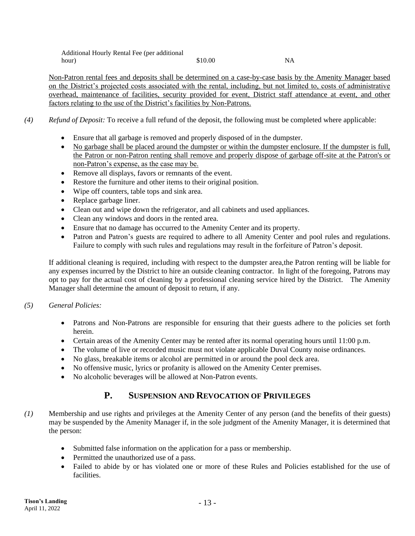Additional Hourly Rental Fee (per additional hour) \$10.00 NA

Non-Patron rental fees and deposits shall be determined on a case-by-case basis by the Amenity Manager based on the District's projected costs associated with the rental, including, but not limited to, costs of administrative overhead, maintenance of facilities, security provided for event, District staff attendance at event, and other factors relating to the use of the District's facilities by Non-Patrons.

- *(4) Refund of Deposit:* To receive a full refund of the deposit, the following must be completed where applicable:
	- Ensure that all garbage is removed and properly disposed of in the dumpster.
	- No garbage shall be placed around the dumpster or within the dumpster enclosure. If the dumpster is full, the Patron or non-Patron renting shall remove and properly dispose of garbage off-site at the Patron's or non-Patron's expense, as the case may be.
	- Remove all displays, favors or remnants of the event.
	- Restore the furniture and other items to their original position.
	- Wipe off counters, table tops and sink area.
	- Replace garbage liner.
	- Clean out and wipe down the refrigerator, and all cabinets and used appliances.
	- Clean any windows and doors in the rented area.
	- Ensure that no damage has occurred to the Amenity Center and its property.
	- Patron and Patron's guests are required to adhere to all Amenity Center and pool rules and regulations. Failure to comply with such rules and regulations may result in the forfeiture of Patron's deposit.

If additional cleaning is required, including with respect to the dumpster area,the Patron renting will be liable for any expenses incurred by the District to hire an outside cleaning contractor. In light of the foregoing, Patrons may opt to pay for the actual cost of cleaning by a professional cleaning service hired by the District. The Amenity Manager shall determine the amount of deposit to return, if any.

#### *(5) General Policies:*

- Patrons and Non-Patrons are responsible for ensuring that their guests adhere to the policies set forth herein.
- Certain areas of the Amenity Center may be rented after its normal operating hours until 11:00 p.m.
- The volume of live or recorded music must not violate applicable Duval County noise ordinances.
- No glass, breakable items or alcohol are permitted in or around the pool deck area.
- No offensive music, lyrics or profanity is allowed on the Amenity Center premises.
- No alcoholic beverages will be allowed at Non-Patron events.

# **P. SUSPENSION AND REVOCATION OF PRIVILEGES**

- *(1)* Membership and use rights and privileges at the Amenity Center of any person (and the benefits of their guests) may be suspended by the Amenity Manager if, in the sole judgment of the Amenity Manager, it is determined that the person:
	- Submitted false information on the application for a pass or membership.
	- Permitted the unauthorized use of a pass.
	- Failed to abide by or has violated one or more of these Rules and Policies established for the use of facilities.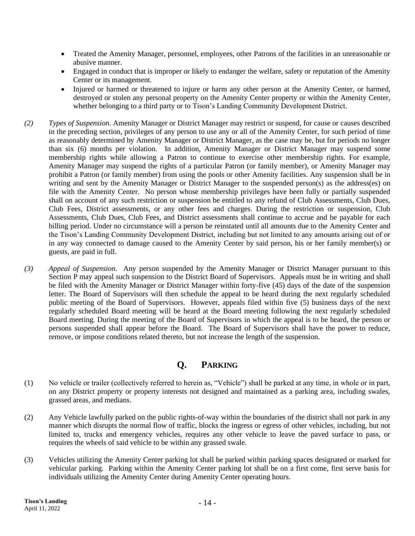- Treated the Amenity Manager, personnel, employees, other Patrons of the facilities in an unreasonable or abusive manner.
- Engaged in conduct that is improper or likely to endanger the welfare, safety or reputation of the Amenity Center or its management.
- Injured or harmed or threatened to injure or harm any other person at the Amenity Center, or harmed, destroyed or stolen any personal property on the Amenity Center property or within the Amenity Center, whether belonging to a third party or to Tison's Landing Community Development District.
- *(2) Types of Suspension*. Amenity Manager or District Manager may restrict or suspend, for cause or causes described in the preceding section, privileges of any person to use any or all of the Amenity Center, for such period of time as reasonably determined by Amenity Manager or District Manager, as the case may be, but for periods no longer than six (6) months per violation. In addition, Amenity Manager or District Manager may suspend some membership rights while allowing a Patron to continue to exercise other membership rights. For example, Amenity Manager may suspend the rights of a particular Patron (or family member), or Amenity Manager may prohibit a Patron (or family member) from using the pools or other Amenity facilities. Any suspension shall be in writing and sent by the Amenity Manager or District Manager to the suspended person(s) as the address(es) on file with the Amenity Center. No person whose membership privileges have been fully or partially suspended shall on account of any such restriction or suspension be entitled to any refund of Club Assessments, Club Dues, Club Fees, District assessments, or any other fees and charges. During the restriction or suspension, Club Assessments, Club Dues, Club Fees, and District assessments shall continue to accrue and be payable for each billing period. Under no circumstance will a person be reinstated until all amounts due to the Amenity Center and the Tison's Landing Community Development District, including but not limited to any amounts arising out of or in any way connected to damage caused to the Amenity Center by said person, his or her family member(s) or guests, are paid in full.
- *(3) Appeal of Suspension*. Any person suspended by the Amenity Manager or District Manager pursuant to this Section P may appeal such suspension to the District Board of Supervisors. Appeals must be in writing and shall be filed with the Amenity Manager or District Manager within forty-five (45) days of the date of the suspension letter. The Board of Supervisors will then schedule the appeal to be heard during the next regularly scheduled public meeting of the Board of Supervisors. However, appeals filed within five (5) business days of the next regularly scheduled Board meeting will be heard at the Board meeting following the next regularly scheduled Board meeting. During the meeting of the Board of Supervisors in which the appeal is to be heard, the person or persons suspended shall appear before the Board. The Board of Supervisors shall have the power to reduce, remove, or impose conditions related thereto, but not increase the length of the suspension.

### **Q. PARKING**

- (1) No vehicle or trailer (collectively referred to herein as, "Vehicle") shall be parked at any time, in whole or in part, on any District property or property interests not designed and maintained as a parking area, including swales, grassed areas, and medians.
- (2) Any Vehicle lawfully parked on the public rights-of-way within the boundaries of the district shall not park in any manner which disrupts the normal flow of traffic, blocks the ingress or egress of other vehicles, including, but not limited to, trucks and emergency vehicles, requires any other vehicle to leave the paved surface to pass, or requires the wheels of said vehicle to be within any grassed swale.
- (3) Vehicles utilizing the Amenity Center parking lot shall be parked within parking spaces designated or marked for vehicular parking. Parking within the Amenity Center parking lot shall be on a first come, first serve basis for individuals utilizing the Amenity Center during Amenity Center operating hours.